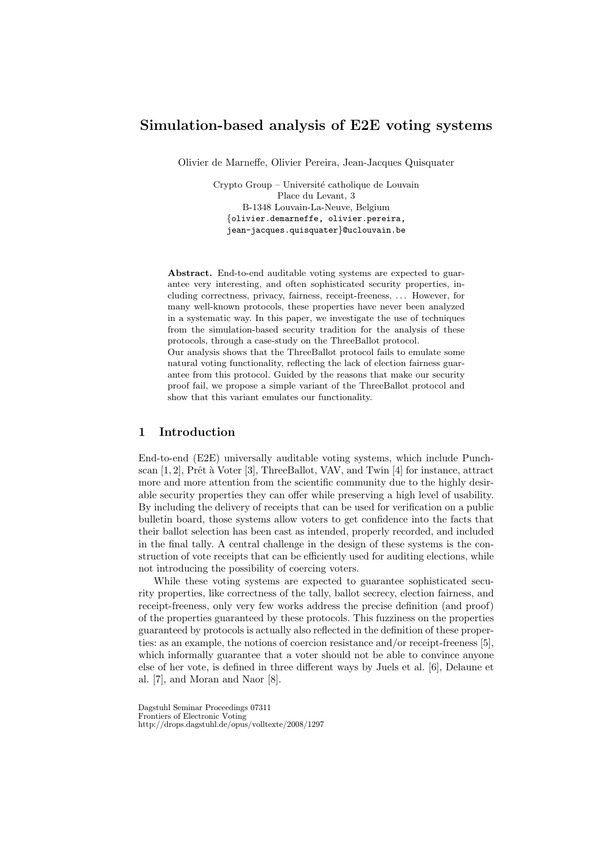# Simulation-based analysis of E2E voting systems

Olivier de Marneffe, Olivier Pereira, Jean-Jacques Quisquater

Crypto Group – Université catholique de Louvain Place du Levant, 3 B-1348 Louvain-La-Neuve, Belgium {olivier.demarneffe, olivier.pereira, jean-jacques.quisquater}@uclouvain.be

Abstract. End-to-end auditable voting systems are expected to guarantee very interesting, and often sophisticated security properties, including correctness, privacy, fairness, receipt-freeness, . . . However, for many well-known protocols, these properties have never been analyzed in a systematic way. In this paper, we investigate the use of techniques from the simulation-based security tradition for the analysis of these protocols, through a case-study on the ThreeBallot protocol.

Our analysis shows that the ThreeBallot protocol fails to emulate some natural voting functionality, reflecting the lack of election fairness guarantee from this protocol. Guided by the reasons that make our security proof fail, we propose a simple variant of the ThreeBallot protocol and show that this variant emulates our functionality.

# 1 Introduction

End-to-end (E2E) universally auditable voting systems, which include Punchscan  $[1, 2]$ , Prêt à Voter  $[3]$ , ThreeBallot, VAV, and Twin  $[4]$  for instance, attract more and more attention from the scientific community due to the highly desirable security properties they can offer while preserving a high level of usability. By including the delivery of receipts that can be used for verification on a public bulletin board, those systems allow voters to get confidence into the facts that their ballot selection has been cast as intended, properly recorded, and included in the final tally. A central challenge in the design of these systems is the construction of vote receipts that can be efficiently used for auditing elections, while not introducing the possibility of coercing voters.

While these voting systems are expected to guarantee sophisticated security properties, like correctness of the tally, ballot secrecy, election fairness, and receipt-freeness, only very few works address the precise definition (and proof) of the properties guaranteed by these protocols. This fuzziness on the properties guaranteed by protocols is actually also reflected in the definition of these properties: as an example, the notions of coercion resistance and/or receipt-freeness [5], which informally guarantee that a voter should not be able to convince anyone else of her vote, is defined in three different ways by Juels et al. [6], Delaune et al. [7], and Moran and Naor [8].

Dagstuhl Seminar Proceedings 07311 Frontiers of Electronic Voting http://drops.dagstuhl.de/opus/volltexte/2008/1297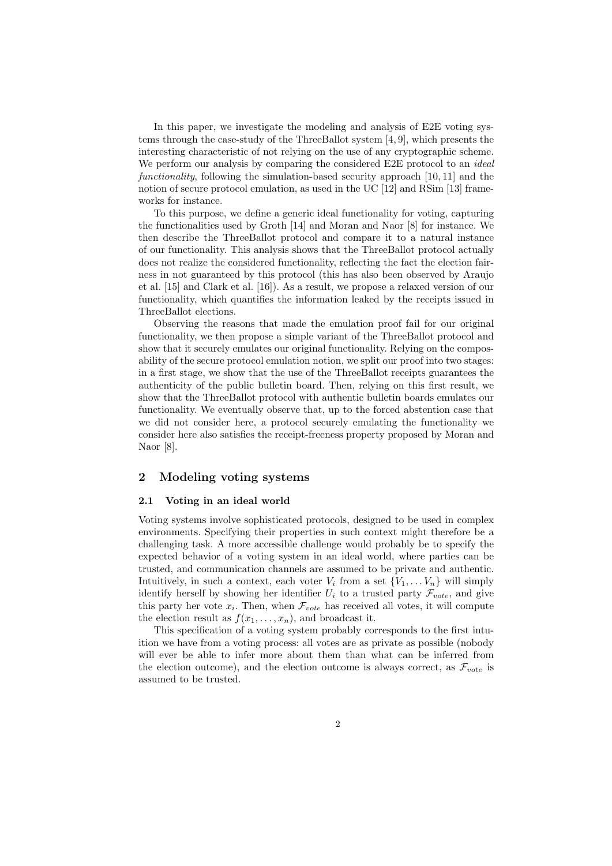In this paper, we investigate the modeling and analysis of E2E voting systems through the case-study of the ThreeBallot system [4, 9], which presents the interesting characteristic of not relying on the use of any cryptographic scheme. We perform our analysis by comparing the considered E2E protocol to an *ideal* functionality, following the simulation-based security approach [10, 11] and the notion of secure protocol emulation, as used in the UC [12] and RSim [13] frameworks for instance.

To this purpose, we define a generic ideal functionality for voting, capturing the functionalities used by Groth [14] and Moran and Naor [8] for instance. We then describe the ThreeBallot protocol and compare it to a natural instance of our functionality. This analysis shows that the ThreeBallot protocol actually does not realize the considered functionality, reflecting the fact the election fairness in not guaranteed by this protocol (this has also been observed by Araujo et al. [15] and Clark et al. [16]). As a result, we propose a relaxed version of our functionality, which quantifies the information leaked by the receipts issued in ThreeBallot elections.

Observing the reasons that made the emulation proof fail for our original functionality, we then propose a simple variant of the ThreeBallot protocol and show that it securely emulates our original functionality. Relying on the composability of the secure protocol emulation notion, we split our proof into two stages: in a first stage, we show that the use of the ThreeBallot receipts guarantees the authenticity of the public bulletin board. Then, relying on this first result, we show that the ThreeBallot protocol with authentic bulletin boards emulates our functionality. We eventually observe that, up to the forced abstention case that we did not consider here, a protocol securely emulating the functionality we consider here also satisfies the receipt-freeness property proposed by Moran and Naor [8].

# 2 Modeling voting systems

### 2.1 Voting in an ideal world

Voting systems involve sophisticated protocols, designed to be used in complex environments. Specifying their properties in such context might therefore be a challenging task. A more accessible challenge would probably be to specify the expected behavior of a voting system in an ideal world, where parties can be trusted, and communication channels are assumed to be private and authentic. Intuitively, in such a context, each voter  $V_i$  from a set  $\{V_1, \ldots V_n\}$  will simply identify herself by showing her identifier  $U_i$  to a trusted party  $\mathcal{F}_{vote}$ , and give this party her vote  $x_i$ . Then, when  $\mathcal{F}_{vote}$  has received all votes, it will compute the election result as  $f(x_1, \ldots, x_n)$ , and broadcast it.

This specification of a voting system probably corresponds to the first intuition we have from a voting process: all votes are as private as possible (nobody will ever be able to infer more about them than what can be inferred from the election outcome), and the election outcome is always correct, as  $\mathcal{F}_{vote}$  is assumed to be trusted.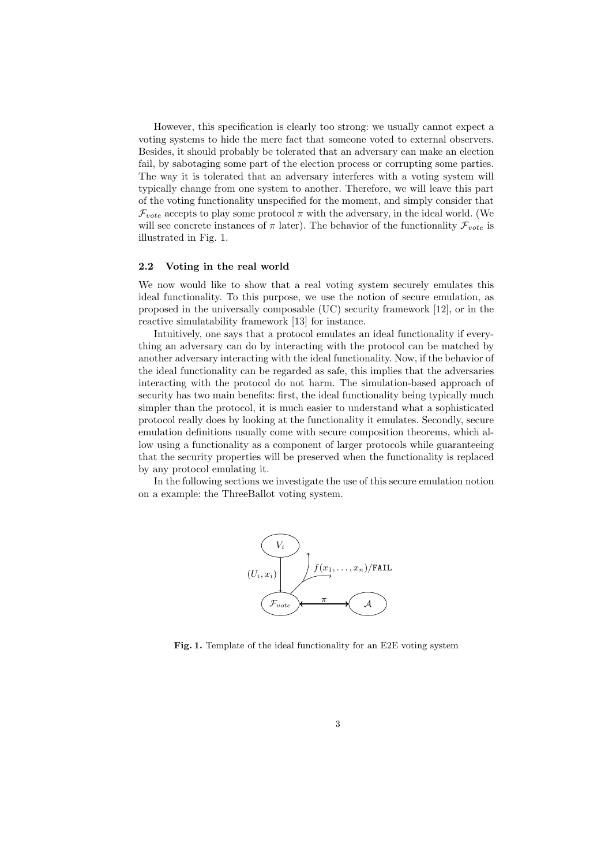However, this specification is clearly too strong: we usually cannot expect a voting systems to hide the mere fact that someone voted to external observers. Besides, it should probably be tolerated that an adversary can make an election fail, by sabotaging some part of the election process or corrupting some parties. The way it is tolerated that an adversary interferes with a voting system will typically change from one system to another. Therefore, we will leave this part of the voting functionality unspecified for the moment, and simply consider that  $\mathcal{F}_{vote}$  accepts to play some protocol  $\pi$  with the adversary, in the ideal world. (We will see concrete instances of  $\pi$  later). The behavior of the functionality  $\mathcal{F}_{vote}$  is illustrated in Fig. 1.

### 2.2 Voting in the real world

We now would like to show that a real voting system securely emulates this ideal functionality. To this purpose, we use the notion of secure emulation, as proposed in the universally composable (UC) security framework [12], or in the reactive simulatability framework [13] for instance.

Intuitively, one says that a protocol emulates an ideal functionality if everything an adversary can do by interacting with the protocol can be matched by another adversary interacting with the ideal functionality. Now, if the behavior of the ideal functionality can be regarded as safe, this implies that the adversaries interacting with the protocol do not harm. The simulation-based approach of security has two main benefits: first, the ideal functionality being typically much simpler than the protocol, it is much easier to understand what a sophisticated protocol really does by looking at the functionality it emulates. Secondly, secure emulation definitions usually come with secure composition theorems, which allow using a functionality as a component of larger protocols while guaranteeing that the security properties will be preserved when the functionality is replaced by any protocol emulating it.

In the following sections we investigate the use of this secure emulation notion on a example: the ThreeBallot voting system.



Fig. 1. Template of the ideal functionality for an E2E voting system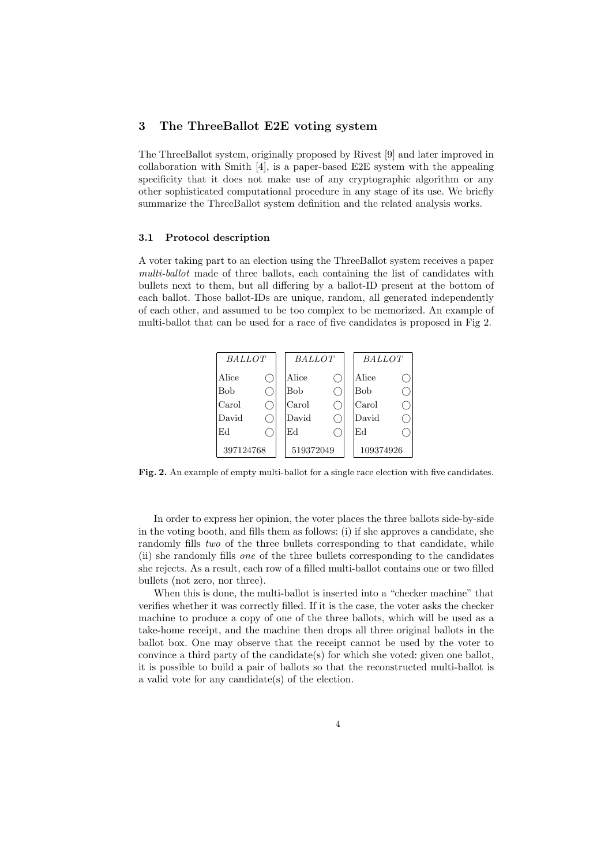### 3 The ThreeBallot E2E voting system

The ThreeBallot system, originally proposed by Rivest [9] and later improved in collaboration with Smith [4], is a paper-based E2E system with the appealing specificity that it does not make use of any cryptographic algorithm or any other sophisticated computational procedure in any stage of its use. We briefly summarize the ThreeBallot system definition and the related analysis works.

#### 3.1 Protocol description

A voter taking part to an election using the ThreeBallot system receives a paper multi-ballot made of three ballots, each containing the list of candidates with bullets next to them, but all differing by a ballot-ID present at the bottom of each ballot. Those ballot-IDs are unique, random, all generated independently of each other, and assumed to be too complex to be memorized. An example of multi-ballot that can be used for a race of five candidates is proposed in Fig 2.



Fig. 2. An example of empty multi-ballot for a single race election with five candidates.

In order to express her opinion, the voter places the three ballots side-by-side in the voting booth, and fills them as follows: (i) if she approves a candidate, she randomly fills two of the three bullets corresponding to that candidate, while (ii) she randomly fills one of the three bullets corresponding to the candidates she rejects. As a result, each row of a filled multi-ballot contains one or two filled bullets (not zero, nor three).

When this is done, the multi-ballot is inserted into a "checker machine" that verifies whether it was correctly filled. If it is the case, the voter asks the checker machine to produce a copy of one of the three ballots, which will be used as a take-home receipt, and the machine then drops all three original ballots in the ballot box. One may observe that the receipt cannot be used by the voter to convince a third party of the candidate $(s)$  for which she voted: given one ballot, it is possible to build a pair of ballots so that the reconstructed multi-ballot is a valid vote for any candidate(s) of the election.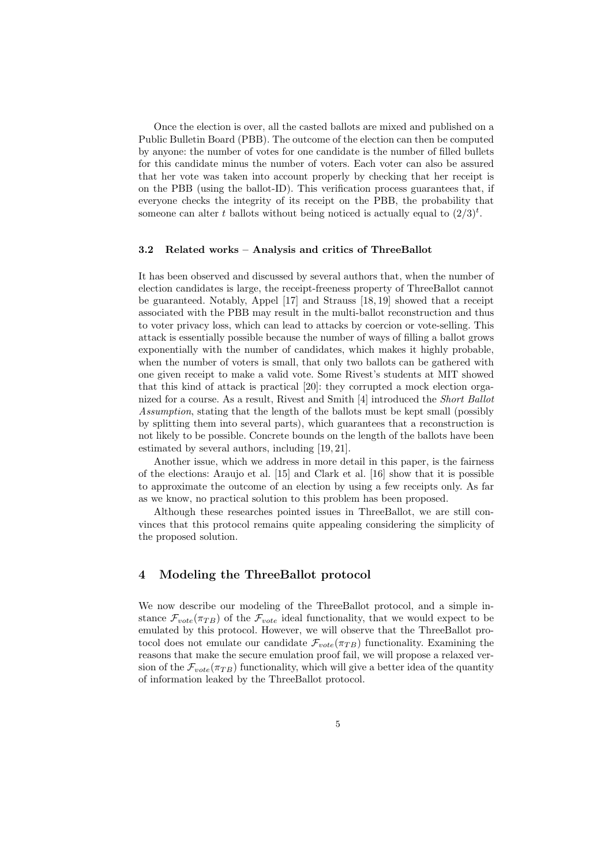Once the election is over, all the casted ballots are mixed and published on a Public Bulletin Board (PBB). The outcome of the election can then be computed by anyone: the number of votes for one candidate is the number of filled bullets for this candidate minus the number of voters. Each voter can also be assured that her vote was taken into account properly by checking that her receipt is on the PBB (using the ballot-ID). This verification process guarantees that, if everyone checks the integrity of its receipt on the PBB, the probability that someone can alter t ballots without being noticed is actually equal to  $(2/3)^t$ .

### 3.2 Related works – Analysis and critics of ThreeBallot

It has been observed and discussed by several authors that, when the number of election candidates is large, the receipt-freeness property of ThreeBallot cannot be guaranteed. Notably, Appel [17] and Strauss [18, 19] showed that a receipt associated with the PBB may result in the multi-ballot reconstruction and thus to voter privacy loss, which can lead to attacks by coercion or vote-selling. This attack is essentially possible because the number of ways of filling a ballot grows exponentially with the number of candidates, which makes it highly probable, when the number of voters is small, that only two ballots can be gathered with one given receipt to make a valid vote. Some Rivest's students at MIT showed that this kind of attack is practical [20]: they corrupted a mock election organized for a course. As a result, Rivest and Smith [4] introduced the Short Ballot Assumption, stating that the length of the ballots must be kept small (possibly by splitting them into several parts), which guarantees that a reconstruction is not likely to be possible. Concrete bounds on the length of the ballots have been estimated by several authors, including [19, 21].

Another issue, which we address in more detail in this paper, is the fairness of the elections: Araujo et al. [15] and Clark et al. [16] show that it is possible to approximate the outcome of an election by using a few receipts only. As far as we know, no practical solution to this problem has been proposed.

Although these researches pointed issues in ThreeBallot, we are still convinces that this protocol remains quite appealing considering the simplicity of the proposed solution.

## 4 Modeling the ThreeBallot protocol

We now describe our modeling of the ThreeBallot protocol, and a simple instance  $\mathcal{F}_{vote}(\pi_{TB})$  of the  $\mathcal{F}_{vote}$  ideal functionality, that we would expect to be emulated by this protocol. However, we will observe that the ThreeBallot protocol does not emulate our candidate  $\mathcal{F}_{vote}(\pi_{TB})$  functionality. Examining the reasons that make the secure emulation proof fail, we will propose a relaxed version of the  $\mathcal{F}_{vote}(\pi_{TB})$  functionality, which will give a better idea of the quantity of information leaked by the ThreeBallot protocol.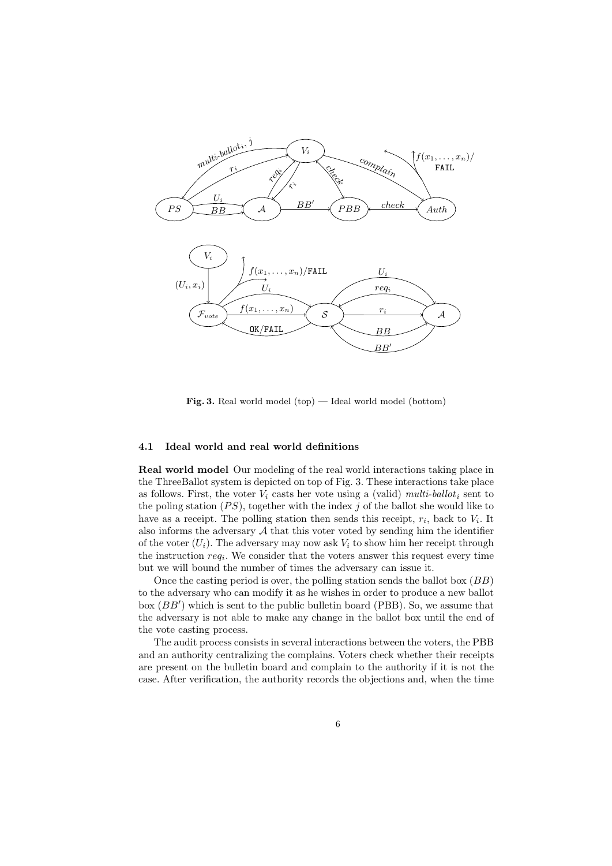

Fig. 3. Real world model (top) — Ideal world model (bottom)

### 4.1 Ideal world and real world definitions

Real world model Our modeling of the real world interactions taking <sup>p</sup>lace in the ThreeBallot system is depicted on top of Fig. 3. These interactions take <sup>p</sup>lace as follows. First, the voter  $V_i$  casts her vote using a (valid) multi-ballot<sub>i</sub> sent to the poling station  $(PS)$ , together with the index j of the ballot she would like to have as a receipt. The polling station then sends this receipt,  $r_i$ , back to  $V_i$ . It also informs the adversary  $A$  that this voter voted by sending him the identifier of the voter  $(U_i)$ . The adversary may now ask  $V_i$  to show him her receipt through the instruction  $req_i$ . We consider that the voters answer this request every time but we will bound the number of times the adversary can issue it.

Once the casting period is over, the polling station sends the ballot box  $(BB)$ to the adversary who can modify it as he wishes in order to produce <sup>a</sup> new ballot box  $(BB')$  which is sent to the public bulletin board (PBB). So, we assume that the adversary is not able to make any change in the ballot box until the end of the vote casting process.

The audit process consists in several interactions between the voters, the PBB and an authority centralizing the complains. Voters check whether their receipts are present on the bulletin board and complain to the authority if it is not the case. After verification, the authority records the objections and, when the time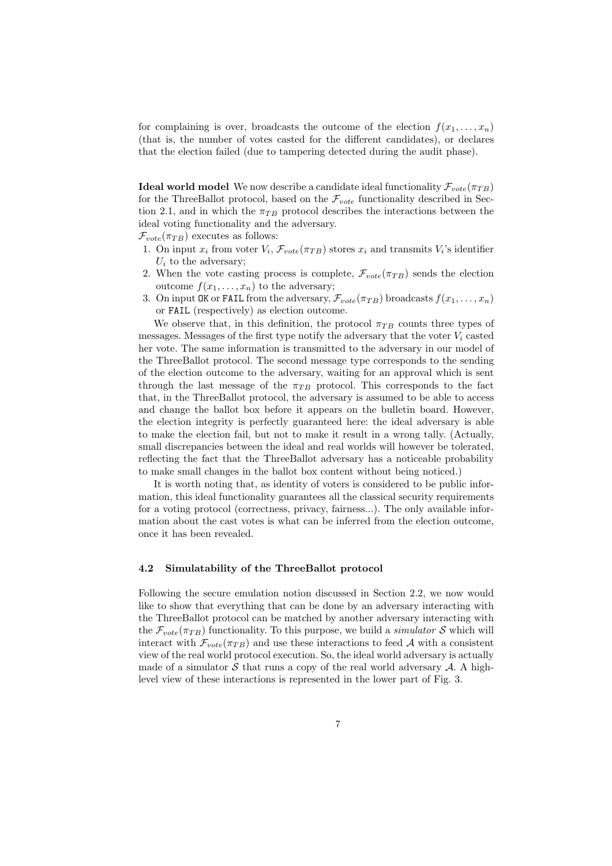for complaining is over, broadcasts the outcome of the election  $f(x_1, \ldots, x_n)$ (that is, the number of votes casted for the different candidates), or declares that the election failed (due to tampering detected during the audit phase).

**Ideal world model** We now describe a candidate ideal functionality  $\mathcal{F}_{note}(\pi_{TB})$ for the ThreeBallot protocol, based on the  $\mathcal{F}_{vote}$  functionality described in Section 2.1, and in which the  $\pi_{TR}$  protocol describes the interactions between the ideal voting functionality and the adversary.

 $\mathcal{F}_{vote}(\pi_{TB})$  executes as follows:

- 1. On input  $x_i$  from voter  $V_i$ ,  $\mathcal{F}_{vote}(\pi_{TB})$  stores  $x_i$  and transmits  $V_i$ 's identifier  $U_i$  to the adversary;
- 2. When the vote casting process is complete,  $\mathcal{F}_{vote}(\pi_{TB})$  sends the election outcome  $f(x_1, \ldots, x_n)$  to the adversary;
- 3. On input OK or FAIL from the adversary,  $\mathcal{F}_{vote}(\pi_{TB})$  broadcasts  $f(x_1, \ldots, x_n)$ or FAIL (respectively) as election outcome.

We observe that, in this definition, the protocol  $\pi_{TB}$  counts three types of messages. Messages of the first type notify the adversary that the voter  $V_i$  casted her vote. The same information is transmitted to the adversary in our model of the ThreeBallot protocol. The second message type corresponds to the sending of the election outcome to the adversary, waiting for an approval which is sent through the last message of the  $\pi_{TB}$  protocol. This corresponds to the fact that, in the ThreeBallot protocol, the adversary is assumed to be able to access and change the ballot box before it appears on the bulletin board. However, the election integrity is perfectly guaranteed here: the ideal adversary is able to make the election fail, but not to make it result in a wrong tally. (Actually, small discrepancies between the ideal and real worlds will however be tolerated, reflecting the fact that the ThreeBallot adversary has a noticeable probability to make small changes in the ballot box content without being noticed.)

It is worth noting that, as identity of voters is considered to be public information, this ideal functionality guarantees all the classical security requirements for a voting protocol (correctness, privacy, fairness...). The only available information about the cast votes is what can be inferred from the election outcome, once it has been revealed.

### 4.2 Simulatability of the ThreeBallot protocol

Following the secure emulation notion discussed in Section 2.2, we now would like to show that everything that can be done by an adversary interacting with the ThreeBallot protocol can be matched by another adversary interacting with the  $\mathcal{F}_{vote}(\pi_{TB})$  functionality. To this purpose, we build a *simulator* S which will interact with  $\mathcal{F}_{vote}(\pi_{TB})$  and use these interactions to feed A with a consistent view of the real world protocol execution. So, the ideal world adversary is actually made of a simulator  $S$  that runs a copy of the real world adversary  $A$ . A highlevel view of these interactions is represented in the lower part of Fig. 3.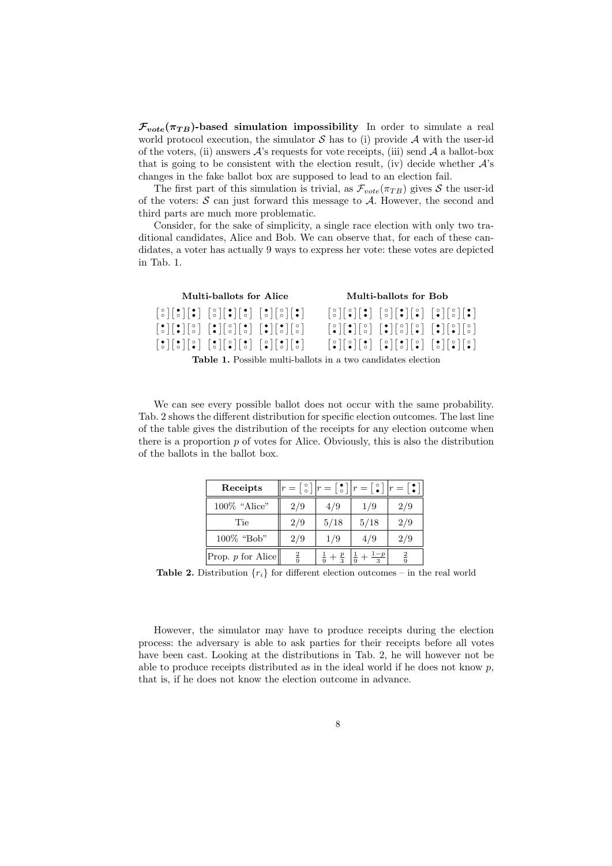$\mathcal{F}_{vote}(\pi_{TB})$ -based simulation impossibility In order to simulate a real world protocol execution, the simulator  $S$  has to (i) provide  $A$  with the user-id of the voters, (ii) answers  $A$ 's requests for vote receipts, (iii) send  $A$  a ballot-box that is going to be consistent with the election result, (iv) decide whether  $A$ 's changes in the fake ballot box are supposed to lead to an election fail.

The first part of this simulation is trivial, as  $\mathcal{F}_{vote}(\pi_{TB})$  gives S the user-id of the voters:  $S$  can just forward this message to  $A$ . However, the second and third parts are much more problematic.

Consider, for the sake of simplicity, a single race election with only two traditional candidates, Alice and Bob. We can observe that, for each of these candidates, a voter has actually 9 ways to express her vote: these votes are depicted in Tab. 1.

| Multi-ballots for Alice                                             |                                                                                                                                                                                                                                                                                  |                                                                                                                                                                                                                                            | Multi-ballots for Bob                                                                                                                                                                                                                                                                                                                                                                                                  |                                                                                                                                                                                                                                                                                                                                                                           |  |  |
|---------------------------------------------------------------------|----------------------------------------------------------------------------------------------------------------------------------------------------------------------------------------------------------------------------------------------------------------------------------|--------------------------------------------------------------------------------------------------------------------------------------------------------------------------------------------------------------------------------------------|------------------------------------------------------------------------------------------------------------------------------------------------------------------------------------------------------------------------------------------------------------------------------------------------------------------------------------------------------------------------------------------------------------------------|---------------------------------------------------------------------------------------------------------------------------------------------------------------------------------------------------------------------------------------------------------------------------------------------------------------------------------------------------------------------------|--|--|
|                                                                     | $\begin{bmatrix} 0 \\ 0 \end{bmatrix}$ $\begin{bmatrix} 0 \\ 0 \end{bmatrix}$ $\begin{bmatrix} 0 \\ 0 \end{bmatrix}$ $\begin{bmatrix} 0 \\ 0 \end{bmatrix}$ $\begin{bmatrix} 0 \\ 0 \end{bmatrix}$ $\begin{bmatrix} 0 \\ 0 \end{bmatrix}$ $\begin{bmatrix} 0 \\ 0 \end{bmatrix}$ |                                                                                                                                                                                                                                            |                                                                                                                                                                                                                                                                                                                                                                                                                        | $ \,^{\circ}_{\circ}\,  \,  \,^{\circ}_{\bullet}\,  \,  \,^{\bullet}_{\bullet}\,  \,  \,^{\circ}_{\circ}\,  \,  \,^{\circ}_{\bullet}\,  \,  \,^{\circ}_{\bullet}\, \,  \,^{\circ}_{\circ}\, \,  \,^{\bullet}_{\bullet}\, \,  \,^{\bullet}_{\circ}\, $                                                                                                                     |  |  |
|                                                                     | $\begin{bmatrix} 1 & 1 & 1 & 1 \\ 0 & 0 & 0 & 0 \end{bmatrix}$ $\begin{bmatrix} 1 & 1 & 1 & 1 \\ 0 & 0 & 0 & 0 \end{bmatrix}$ $\begin{bmatrix} 1 & 1 & 1 & 1 \\ 0 & 0 & 0 & 0 \\ 0 & 0 & 0 & 0 & 0 \end{bmatrix}$                                                                |                                                                                                                                                                                                                                            |                                                                                                                                                                                                                                                                                                                                                                                                                        | $\begin{bmatrix} \circ \\ \circ \end{bmatrix} \begin{bmatrix} \circ \\ \circ \end{bmatrix} \begin{bmatrix} \circ \\ \circ \end{bmatrix} \begin{bmatrix} \circ \\ \circ \end{bmatrix} \begin{bmatrix} \circ \\ \circ \end{bmatrix} \begin{bmatrix} \circ \\ \circ \end{bmatrix} \begin{bmatrix} \circ \\ \circ \end{bmatrix} \begin{bmatrix} \circ \\ \circ \end{bmatrix}$ |  |  |
|                                                                     |                                                                                                                                                                                                                                                                                  | $\begin{bmatrix} 1 & 1 \\ 0 & 1 \end{bmatrix}$ $\begin{bmatrix} 0 & 1 \\ 0 & 1 \end{bmatrix}$ $\begin{bmatrix} 0 & 1 \\ 0 & 1 \end{bmatrix}$ $\begin{bmatrix} 0 & 1 \\ 0 & 1 \end{bmatrix}$ $\begin{bmatrix} 0 & 1 \\ 0 & 1 \end{bmatrix}$ | $\begin{bmatrix} \circ \\ \circ \end{bmatrix} \begin{bmatrix} \circ \\ \circ \end{bmatrix} \begin{bmatrix} \circ \\ \circ \end{bmatrix} \begin{bmatrix} \circ \\ \circ \end{bmatrix} \begin{bmatrix} \circ \\ \circ \end{bmatrix} \begin{bmatrix} \circ \\ \circ \end{bmatrix} \begin{bmatrix} \circ \\ \circ \end{bmatrix} \begin{bmatrix} \circ \\ \circ \end{bmatrix} \begin{bmatrix} \circ \\ \circ \end{bmatrix}$ |                                                                                                                                                                                                                                                                                                                                                                           |  |  |
| <b>Table 1.</b> Possible multi-ballots in a two candidates election |                                                                                                                                                                                                                                                                                  |                                                                                                                                                                                                                                            |                                                                                                                                                                                                                                                                                                                                                                                                                        |                                                                                                                                                                                                                                                                                                                                                                           |  |  |

We can see every possible ballot does not occur with the same probability. Tab. 2 shows the different distribution for specific election outcomes. The last line of the table gives the distribution of the receipts for any election outcome when there is a proportion  $p$  of votes for Alice. Obviously, this is also the distribution of the ballots in the ballot box.

| Receipts          |             |                           | $ r = \begin{bmatrix} \circ \\ \circ \end{bmatrix}   r = \begin{bmatrix} \bullet \\ \circ \end{bmatrix}   r = \begin{bmatrix} \circ \\ \bullet \end{bmatrix}   r = \begin{bmatrix} \bullet \\ \bullet \end{bmatrix}  $ |               |
|-------------------|-------------|---------------------------|------------------------------------------------------------------------------------------------------------------------------------------------------------------------------------------------------------------------|---------------|
| $100\%$ "Alice"   | 2/9         | 4/9                       | 1/9                                                                                                                                                                                                                    | 2/9           |
| Tie               | 2/9         | 5/18                      | 5/18                                                                                                                                                                                                                   | 2/9           |
| 100% "Bob"        | 2/9         | 1/9                       | 4/9                                                                                                                                                                                                                    | 2/9           |
| Prop. p for Alice | $rac{2}{9}$ | $rac{1}{9} + \frac{p}{3}$ | $\frac{1}{9} + \frac{1-p}{3}$                                                                                                                                                                                          | $\frac{2}{9}$ |

**Table 2.** Distribution  $\{r_i\}$  for different election outcomes – in the real world

However, the simulator may have to produce receipts during the election process: the adversary is able to ask parties for their receipts before all votes have been cast. Looking at the distributions in Tab. 2, he will however not be able to produce receipts distributed as in the ideal world if he does not know  $p$ , that is, if he does not know the election outcome in advance.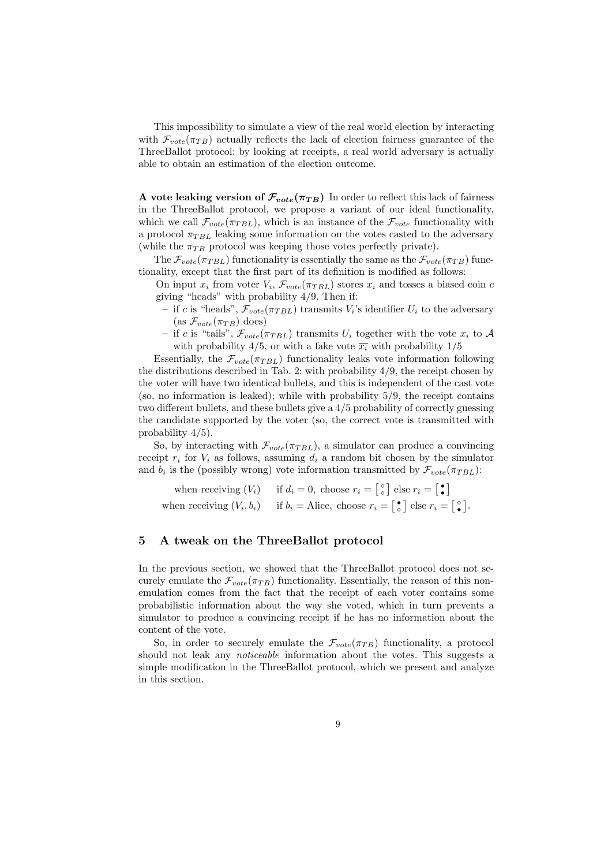This impossibility to simulate a view of the real world election by interacting with  $\mathcal{F}_{vote}(\pi_{TB})$  actually reflects the lack of election fairness guarantee of the ThreeBallot protocol: by looking at receipts, a real world adversary is actually able to obtain an estimation of the election outcome.

A vote leaking version of  $\mathcal{F}_{vote}(\pi_{TB})$  In order to reflect this lack of fairness in the ThreeBallot protocol, we propose a variant of our ideal functionality, which we call  $\mathcal{F}_{vote}(\pi_{TBL})$ , which is an instance of the  $\mathcal{F}_{vote}$  functionality with a protocol  $\pi_{TBL}$  leaking some information on the votes casted to the adversary (while the  $\pi_{TB}$  protocol was keeping those votes perfectly private).

The  $\mathcal{F}_{vote}(\pi_{TBL})$  functionality is essentially the same as the  $\mathcal{F}_{vote}(\pi_{TB})$  functionality, except that the first part of its definition is modified as follows:

On input  $x_i$  from voter  $V_i$ ,  $\mathcal{F}_{vote}(\pi_{TBL})$  stores  $x_i$  and tosses a biased coin c giving "heads" with probability 4/9. Then if:

- if c is "heads",  $\mathcal{F}_{vote}(\pi_{TBL})$  transmits  $V_i$ 's identifier  $U_i$  to the adversary (as  $\mathcal{F}_{vote}(\pi_{TB})$  does)
- if c is "tails",  $\mathcal{F}_{vote}(\pi_{TBL})$  transmits  $U_i$  together with the vote  $x_i$  to A with probability 4/5, or with a fake vote  $\overline{x_i}$  with probability 1/5

Essentially, the  $\mathcal{F}_{vote}(\pi_{TBL})$  functionality leaks vote information following the distributions described in Tab. 2: with probability 4/9, the receipt chosen by the voter will have two identical bullets, and this is independent of the cast vote (so, no information is leaked); while with probability  $5/9$ , the receipt contains two different bullets, and these bullets give a 4/5 probability of correctly guessing the candidate supported by the voter (so, the correct vote is transmitted with probability 4/5).

So, by interacting with  $\mathcal{F}_{vote}(\pi_{TBL})$ , a simulator can produce a convincing receipt  $r_i$  for  $V_i$  as follows, assuming  $d_i$  a random bit chosen by the simulator and  $b_i$  is the (possibly wrong) vote information transmitted by  $\mathcal{F}_{vote}(\pi_{TBL})$ :

when receiving  $(V_i)$  if  $d_i = 0$ , choose  $r_i = \begin{bmatrix} \circ \\ \circ \end{bmatrix}$  else  $r_i = \begin{bmatrix} \bullet \\ \bullet \end{bmatrix}$ when receiving  $(V_i, b_i)$  if  $b_i =$  Alice, choose  $r_i = \begin{bmatrix} \bullet \\ \circ \end{bmatrix}$  else  $r_i = \begin{bmatrix} \circ \\ \bullet \end{bmatrix}$ .

### 5 A tweak on the ThreeBallot protocol

In the previous section, we showed that the ThreeBallot protocol does not securely emulate the  $\mathcal{F}_{vote}(\pi_{TB})$  functionality. Essentially, the reason of this nonemulation comes from the fact that the receipt of each voter contains some probabilistic information about the way she voted, which in turn prevents a simulator to produce a convincing receipt if he has no information about the content of the vote.

So, in order to securely emulate the  $\mathcal{F}_{vote}(\pi_{TB})$  functionality, a protocol should not leak any *noticeable* information about the votes. This suggests a simple modification in the ThreeBallot protocol, which we present and analyze in this section.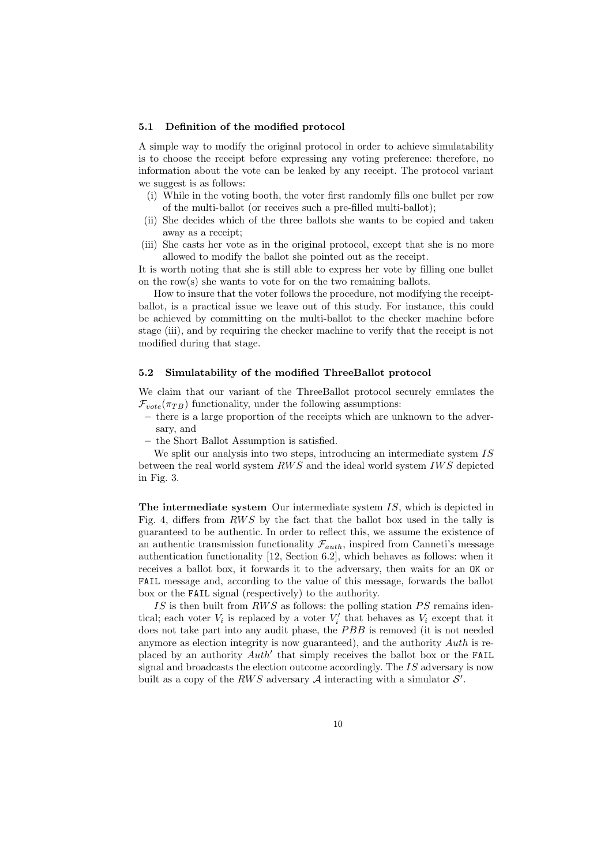#### 5.1 Definition of the modified protocol

A simple way to modify the original protocol in order to achieve simulatability is to choose the receipt before expressing any voting preference: therefore, no information about the vote can be leaked by any receipt. The protocol variant we suggest is as follows:

- (i) While in the voting booth, the voter first randomly fills one bullet per row of the multi-ballot (or receives such a pre-filled multi-ballot);
- (ii) She decides which of the three ballots she wants to be copied and taken away as a receipt;
- (iii) She casts her vote as in the original protocol, except that she is no more allowed to modify the ballot she pointed out as the receipt.

It is worth noting that she is still able to express her vote by filling one bullet on the row(s) she wants to vote for on the two remaining ballots.

How to insure that the voter follows the procedure, not modifying the receiptballot, is a practical issue we leave out of this study. For instance, this could be achieved by committing on the multi-ballot to the checker machine before stage (iii), and by requiring the checker machine to verify that the receipt is not modified during that stage.

#### 5.2 Simulatability of the modified ThreeBallot protocol

We claim that our variant of the ThreeBallot protocol securely emulates the  $\mathcal{F}_{vote}(\pi_{TB})$  functionality, under the following assumptions:

- there is a large proportion of the receipts which are unknown to the adversary, and
- the Short Ballot Assumption is satisfied.

We split our analysis into two steps, introducing an intermediate system IS between the real world system  $RWS$  and the ideal world system  $IWS$  depicted in Fig. 3.

The intermediate system Our intermediate system IS, which is depicted in Fig. 4, differs from RWS by the fact that the ballot box used in the tally is guaranteed to be authentic. In order to reflect this, we assume the existence of an authentic transmission functionality  $\mathcal{F}_{auth}$ , inspired from Canneti's message authentication functionality [12, Section 6.2], which behaves as follows: when it receives a ballot box, it forwards it to the adversary, then waits for an OK or FAIL message and, according to the value of this message, forwards the ballot box or the FAIL signal (respectively) to the authority.

IS is then built from  $RWS$  as follows: the polling station PS remains identical; each voter  $V_i$  is replaced by a voter  $V'_i$  that behaves as  $V_i$  except that it does not take part into any audit phase, the PBB is removed (it is not needed anymore as election integrity is now guaranteed), and the authority Auth is replaced by an authority  $Auth'$  that simply receives the ballot box or the FAIL signal and broadcasts the election outcome accordingly. The  $IS$  adversary is now built as a copy of the RWS adversary  $A$  interacting with a simulator  $S'$ .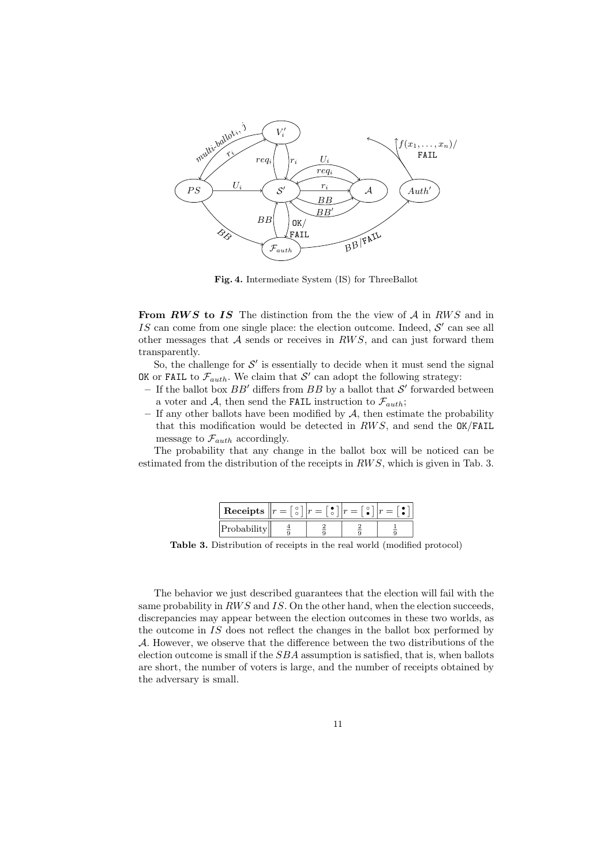

Fig. 4. Intermediate System (IS) for ThreeBallot

From  $RWS$  to IS The distinction from the the view of  $A$  in  $RWS$  and in IS can come from one single place: the election outcome. Indeed,  $\mathcal{S}'$  can see all other messages that  $A$  sends or receives in  $RWS$ , and can just forward them transparently.

So, the challenge for  $\mathcal{S}'$  is essentially to decide when it must send the signal OK or FAIL to  $\mathcal{F}_{auth}$ . We claim that  $\mathcal{S}'$  can adopt the following strategy:

- If the ballot box  $BB'$  differs from  $BB$  by a ballot that  $\mathcal{S}'$  forwarded between a voter and A, then send the FAIL instruction to  $\mathcal{F}_{auth}$ ;
- $-$  If any other ballots have been modified by  $A$ , then estimate the probability that this modification would be detected in  $RWS$ , and send the  $OK/FAIL$ message to  $\mathcal{F}_{auth}$  accordingly.

The probability that any change in the ballot box will be noticed can be estimated from the distribution of the receipts in  $RWS$ , which is given in Tab. 3.

| Receipts $  r  _{r}$ |  | $\circ$<br>$=$ |  |
|----------------------|--|----------------|--|
| Probabilit           |  |                |  |

Table 3. Distribution of receipts in the real world (modified protocol)

The behavior we just described guarantees that the election will fail with the same probability in  $RWS$  and IS. On the other hand, when the election succeeds, discrepancies may appear between the election outcomes in these two worlds, as the outcome in  $IS$  does not reflect the changes in the ballot box performed by A. However, we observe that the difference between the two distributions of the election outcome is small if the SBA assumption is satisfied, that is, when ballots are short, the number of voters is large, and the number of receipts obtained by the adversary is small.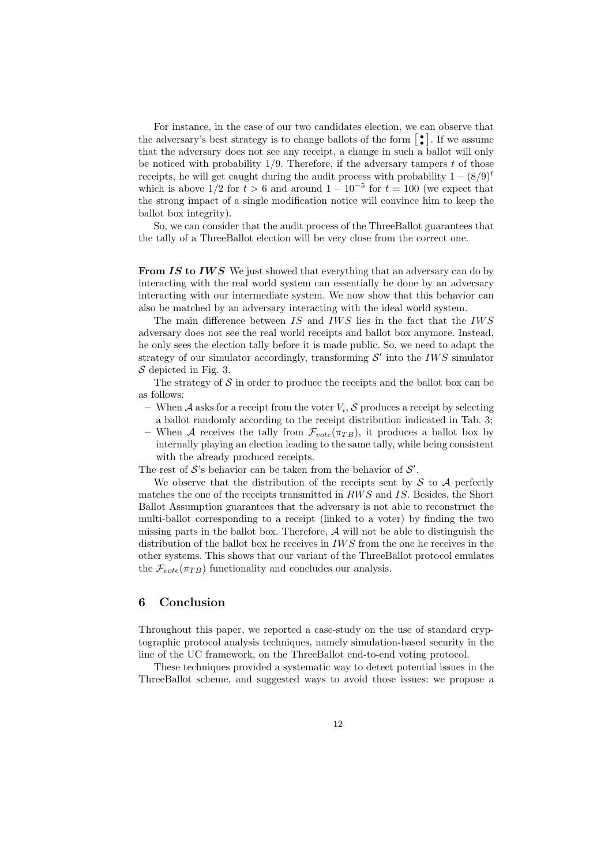For instance, in the case of our two candidates election, we can observe that the adversary's best strategy is to change ballots of the form  $\lbrack \bullet \rbrack$ . If we assume that the adversary does not see any receipt, a change in such a ballot will only be noticed with probability  $1/9$ . Therefore, if the adversary tampers t of those receipts, he will get caught during the audit process with probability  $1 - (8/9)^t$ which is above  $1/2$  for  $t > 6$  and around  $1 - 10^{-5}$  for  $t = 100$  (we expect that the strong impact of a single modification notice will convince him to keep the ballot box integrity).

So, we can consider that the audit process of the ThreeBallot guarantees that the tally of a ThreeBallot election will be very close from the correct one.

**From IS to IWS** We just showed that everything that an adversary can do by interacting with the real world system can essentially be done by an adversary interacting with our intermediate system. We now show that this behavior can also be matched by an adversary interacting with the ideal world system.

The main difference between  $IS$  and  $IWS$  lies in the fact that the  $IWS$ adversary does not see the real world receipts and ballot box anymore. Instead, he only sees the election tally before it is made public. So, we need to adapt the strategy of our simulator accordingly, transforming  $\mathcal{S}'$  into the IWS simulator  $S$  depicted in Fig. 3.

The strategy of  $S$  in order to produce the receipts and the ballot box can be as follows:

- When A asks for a receipt from the voter  $V_i$ , S produces a receipt by selecting a ballot randomly according to the receipt distribution indicated in Tab. 3;
- When A receives the tally from  $\mathcal{F}_{vote}(\pi_{TB})$ , it produces a ballot box by internally playing an election leading to the same tally, while being consistent with the already produced receipts.

The rest of  $S$ 's behavior can be taken from the behavior of  $S'$ .

We observe that the distribution of the receipts sent by  $\mathcal S$  to  $\mathcal A$  perfectly matches the one of the receipts transmitted in RWS and IS. Besides, the Short Ballot Assumption guarantees that the adversary is not able to reconstruct the multi-ballot corresponding to a receipt (linked to a voter) by finding the two missing parts in the ballot box. Therefore,  $A$  will not be able to distinguish the distribution of the ballot box he receives in  $IWS$  from the one he receives in the other systems. This shows that our variant of the ThreeBallot protocol emulates the  $\mathcal{F}_{note}(\pi_{TB})$  functionality and concludes our analysis.

### 6 Conclusion

Throughout this paper, we reported a case-study on the use of standard cryptographic protocol analysis techniques, namely simulation-based security in the line of the UC framework, on the ThreeBallot end-to-end voting protocol.

These techniques provided a systematic way to detect potential issues in the ThreeBallot scheme, and suggested ways to avoid those issues: we propose a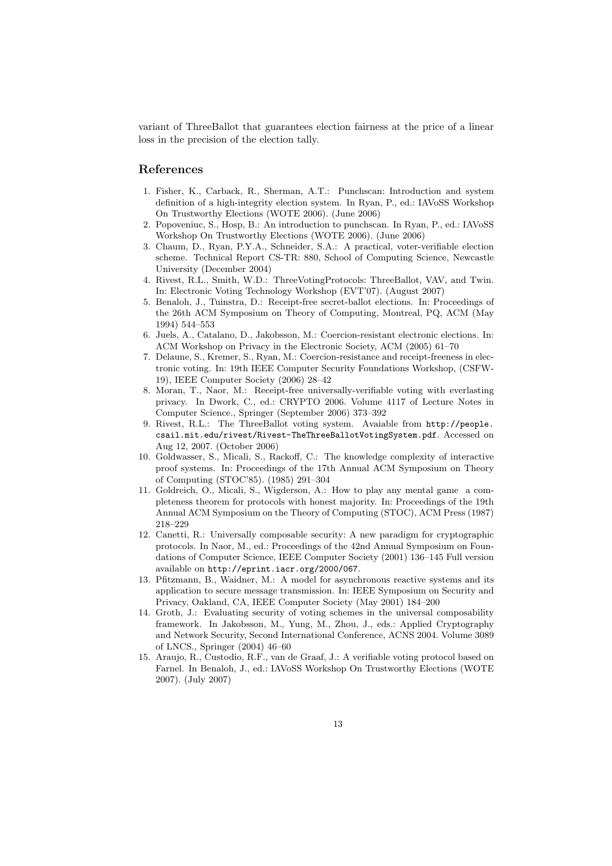variant of ThreeBallot that guarantees election fairness at the price of a linear loss in the precision of the election tally.

# References

- 1. Fisher, K., Carback, R., Sherman, A.T.: Punchscan: Introduction and system definition of a high-integrity election system. In Ryan, P., ed.: IAVoSS Workshop On Trustworthy Elections (WOTE 2006). (June 2006)
- 2. Popoveniuc, S., Hosp, B.: An introduction to punchscan. In Ryan, P., ed.: IAVoSS Workshop On Trustworthy Elections (WOTE 2006). (June 2006)
- 3. Chaum, D., Ryan, P.Y.A., Schneider, S.A.: A practical, voter-verifiable election scheme. Technical Report CS-TR: 880, School of Computing Science, Newcastle University (December 2004)
- 4. Rivest, R.L., Smith, W.D.: ThreeVotingProtocols: ThreeBallot, VAV, and Twin. In: Electronic Voting Technology Workshop (EVT'07). (August 2007)
- 5. Benaloh, J., Tuinstra, D.: Receipt-free secret-ballot elections. In: Proceedings of the 26th ACM Symposium on Theory of Computing, Montreal, PQ, ACM (May 1994) 544–553
- 6. Juels, A., Catalano, D., Jakobsson, M.: Coercion-resistant electronic elections. In: ACM Workshop on Privacy in the Electronic Society, ACM (2005) 61–70
- 7. Delaune, S., Kremer, S., Ryan, M.: Coercion-resistance and receipt-freeness in electronic voting. In: 19th IEEE Computer Security Foundations Workshop, (CSFW-19), IEEE Computer Society (2006) 28–42
- 8. Moran, T., Naor, M.: Receipt-free universally-verifiable voting with everlasting privacy. In Dwork, C., ed.: CRYPTO 2006. Volume 4117 of Lecture Notes in Computer Science., Springer (September 2006) 373–392
- 9. Rivest, R.L.: The ThreeBallot voting system. Avaiable from http://people. csail.mit.edu/rivest/Rivest-TheThreeBallotVotingSystem.pdf. Accessed on Aug 12, 2007. (October 2006)
- 10. Goldwasser, S., Micali, S., Rackoff, C.: The knowledge complexity of interactive proof systems. In: Proceedings of the 17th Annual ACM Symposium on Theory of Computing (STOC'85). (1985) 291–304
- 11. Goldreich, O., Micali, S., Wigderson, A.: How to play any mental game a completeness theorem for protocols with honest majority. In: Proceedings of the 19th Annual ACM Symposium on the Theory of Computing (STOC), ACM Press (1987) 218–229
- 12. Canetti, R.: Universally composable security: A new paradigm for cryptographic protocols. In Naor, M., ed.: Proceedings of the 42nd Annual Symposium on Foundations of Computer Science, IEEE Computer Society (2001) 136–145 Full version available on http://eprint.iacr.org/2000/067.
- 13. Pfitzmann, B., Waidner, M.: A model for asynchronous reactive systems and its application to secure message transmission. In: IEEE Symposium on Security and Privacy, Oakland, CA, IEEE Computer Society (May 2001) 184–200
- 14. Groth, J.: Evaluating security of voting schemes in the universal composability framework. In Jakobsson, M., Yung, M., Zhou, J., eds.: Applied Cryptography and Network Security, Second International Conference, ACNS 2004. Volume 3089 of LNCS., Springer (2004) 46–60
- 15. Araujo, R., Custodio, R.F., van de Graaf, J.: A verifiable voting protocol based on Farnel. In Benaloh, J., ed.: IAVoSS Workshop On Trustworthy Elections (WOTE 2007). (July 2007)